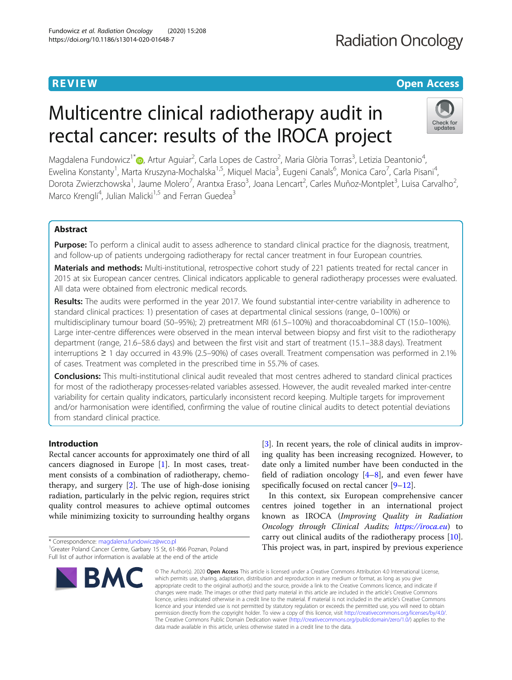# **Radiation Oncology**

# **REVIEW CONTROL** CONTROL CONTROL CONTROL CONTROL CONTROL CONTROL CONTROL CONTROL CONTROL CONTROL CONTROL CONTROL

# Multicentre clinical radiotherapy audit in rectal cancer: results of the IROCA project



Magdalena Fundowicz<sup>1[\\*](http://orcid.org/0000-0003-0668-9200)</sup>. Artur Aguiar<sup>2</sup>, Carla Lopes de Castro<sup>2</sup>, Maria Glòria Torras<sup>3</sup>, Letizia Deantonio<sup>4</sup> , Ewelina Konstanty<sup>1</sup>, Marta Kruszyna-Mochalska<sup>1,5</sup>, Miquel Macia<sup>3</sup>, Eugeni Canals<sup>6</sup>, Monica Caro<sup>7</sup>, Carla Pisani<sup>4</sup> , Dorota Zwierzchowska<sup>1</sup>, Jaume Molero<sup>7</sup>, Arantxa Eraso<sup>3</sup>, Joana Lencart<sup>2</sup>, Carles Muñoz-Montplet<sup>3</sup>, Luisa Carvalho<sup>2</sup> , Marco Krengli<sup>4</sup>, Julian Malicki<sup>1,5</sup> and Ferran Guedea<sup>3</sup>

# Abstract

**Purpose:** To perform a clinical audit to assess adherence to standard clinical practice for the diagnosis, treatment, and follow-up of patients undergoing radiotherapy for rectal cancer treatment in four European countries.

Materials and methods: Multi-institutional, retrospective cohort study of 221 patients treated for rectal cancer in 2015 at six European cancer centres. Clinical indicators applicable to general radiotherapy processes were evaluated. All data were obtained from electronic medical records.

Results: The audits were performed in the year 2017. We found substantial inter-centre variability in adherence to standard clinical practices: 1) presentation of cases at departmental clinical sessions (range, 0–100%) or multidisciplinary tumour board (50–95%); 2) pretreatment MRI (61.5–100%) and thoracoabdominal CT (15.0–100%). Large inter-centre differences were observed in the mean interval between biopsy and first visit to the radiotherapy department (range, 21.6–58.6 days) and between the first visit and start of treatment (15.1–38.8 days). Treatment interruptions ≥ 1 day occurred in 43.9% (2.5–90%) of cases overall. Treatment compensation was performed in 2.1% of cases. Treatment was completed in the prescribed time in 55.7% of cases.

**Conclusions:** This multi-institutional clinical audit revealed that most centres adhered to standard clinical practices for most of the radiotherapy processes-related variables assessed. However, the audit revealed marked inter-centre variability for certain quality indicators, particularly inconsistent record keeping. Multiple targets for improvement and/or harmonisation were identified, confirming the value of routine clinical audits to detect potential deviations from standard clinical practice.

# Introduction

Rectal cancer accounts for approximately one third of all cancers diagnosed in Europe [\[1](#page-8-0)]. In most cases, treatment consists of a combination of radiotherapy, chemotherapy, and surgery [[2\]](#page-8-0). The use of high-dose ionising radiation, particularly in the pelvic region, requires strict quality control measures to achieve optimal outcomes while minimizing toxicity to surrounding healthy organs

<sup>\*</sup> Correspondence: [magdalena.fundowicz@wco.pl](mailto:magdalena.fundowicz@wco.pl) <sup>1</sup> <sup>1</sup>Greater Poland Cancer Centre, Garbary 15 St, 61-866 Poznan, Poland Full list of author information is available at the end of the article



[[3\]](#page-8-0). In recent years, the role of clinical audits in improving quality has been increasing recognized. However, to date only a limited number have been conducted in the field of radiation oncology  $[4-8]$  $[4-8]$  $[4-8]$  $[4-8]$ , and even fewer have specifically focused on rectal cancer [[9](#page-8-0)–[12](#page-9-0)].

In this context, six European comprehensive cancer centres joined together in an international project known as IROCA (Improving Quality in Radiation Oncology through Clinical Audits; <https://iroca.eu>) to carry out clinical audits of the radiotherapy process [\[10](#page-8-0)]. This project was, in part, inspired by previous experience

© The Author(s), 2020 **Open Access** This article is licensed under a Creative Commons Attribution 4.0 International License, which permits use, sharing, adaptation, distribution and reproduction in any medium or format, as long as you give appropriate credit to the original author(s) and the source, provide a link to the Creative Commons licence, and indicate if changes were made. The images or other third party material in this article are included in the article's Creative Commons licence, unless indicated otherwise in a credit line to the material. If material is not included in the article's Creative Commons licence and your intended use is not permitted by statutory regulation or exceeds the permitted use, you will need to obtain permission directly from the copyright holder. To view a copy of this licence, visit [http://creativecommons.org/licenses/by/4.0/.](http://creativecommons.org/licenses/by/4.0/) The Creative Commons Public Domain Dedication waiver [\(http://creativecommons.org/publicdomain/zero/1.0/](http://creativecommons.org/publicdomain/zero/1.0/)) applies to the data made available in this article, unless otherwise stated in a credit line to the data.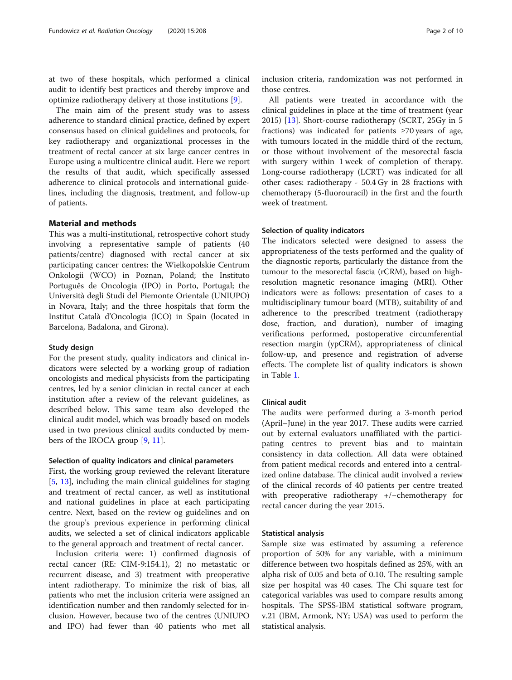at two of these hospitals, which performed a clinical audit to identify best practices and thereby improve and optimize radiotherapy delivery at those institutions [[9](#page-8-0)].

The main aim of the present study was to assess adherence to standard clinical practice, defined by expert consensus based on clinical guidelines and protocols, for key radiotherapy and organizational processes in the treatment of rectal cancer at six large cancer centres in Europe using a multicentre clinical audit. Here we report the results of that audit, which specifically assessed adherence to clinical protocols and international guidelines, including the diagnosis, treatment, and follow-up of patients.

# Material and methods

This was a multi-institutional, retrospective cohort study involving a representative sample of patients (40 patients/centre) diagnosed with rectal cancer at six participating cancer centres: the Wielkopolskie Centrum Onkologii (WCO) in Poznan, Poland; the Instituto Português de Oncologia (IPO) in Porto, Portugal; the Università degli Studi del Piemonte Orientale (UNIUPO) in Novara, Italy; and the three hospitals that form the Institut Català d'Oncologia (ICO) in Spain (located in Barcelona, Badalona, and Girona).

# Study design

For the present study, quality indicators and clinical indicators were selected by a working group of radiation oncologists and medical physicists from the participating centres, led by a senior clinician in rectal cancer at each institution after a review of the relevant guidelines, as described below. This same team also developed the clinical audit model, which was broadly based on models used in two previous clinical audits conducted by members of the IROCA group [[9,](#page-8-0) [11\]](#page-9-0).

# Selection of quality indicators and clinical parameters

First, the working group reviewed the relevant literature [[5,](#page-8-0) [13](#page-9-0)], including the main clinical guidelines for staging and treatment of rectal cancer, as well as institutional and national guidelines in place at each participating centre. Next, based on the review og guidelines and on the group's previous experience in performing clinical audits, we selected a set of clinical indicators applicable to the general approach and treatment of rectal cancer.

Inclusion criteria were: 1) confirmed diagnosis of rectal cancer (RE: CIM-9:154.1), 2) no metastatic or recurrent disease, and 3) treatment with preoperative intent radiotherapy. To minimize the risk of bias, all patients who met the inclusion criteria were assigned an identification number and then randomly selected for inclusion. However, because two of the centres (UNIUPO and IPO) had fewer than 40 patients who met all

inclusion criteria, randomization was not performed in those centres.

All patients were treated in accordance with the clinical guidelines in place at the time of treatment (year 2015) [\[13](#page-9-0)]. Short-course radiotherapy (SCRT, 25Gy in 5 fractions) was indicated for patients  $\geq 70$  years of age, with tumours located in the middle third of the rectum, or those without involvement of the mesorectal fascia with surgery within 1 week of completion of therapy. Long-course radiotherapy (LCRT) was indicated for all other cases: radiotherapy - 50.4 Gy in 28 fractions with chemotherapy (5-fluorouracil) in the first and the fourth week of treatment.

# Selection of quality indicators

The indicators selected were designed to assess the appropriateness of the tests performed and the quality of the diagnostic reports, particularly the distance from the tumour to the mesorectal fascia (rCRM), based on highresolution magnetic resonance imaging (MRI). Other indicators were as follows: presentation of cases to a multidisciplinary tumour board (MTB), suitability of and adherence to the prescribed treatment (radiotherapy dose, fraction, and duration), number of imaging verifications performed, postoperative circumferential resection margin (ypCRM), appropriateness of clinical follow-up, and presence and registration of adverse effects. The complete list of quality indicators is shown in Table [1.](#page-2-0)

# Clinical audit

The audits were performed during a 3-month period (April–June) in the year 2017. These audits were carried out by external evaluators unaffiliated with the participating centres to prevent bias and to maintain consistency in data collection. All data were obtained from patient medical records and entered into a centralized online database. The clinical audit involved a review of the clinical records of 40 patients per centre treated with preoperative radiotherapy +/−chemotherapy for rectal cancer during the year 2015.

# Statistical analysis

Sample size was estimated by assuming a reference proportion of 50% for any variable, with a minimum difference between two hospitals defined as 25%, with an alpha risk of 0.05 and beta of 0.10. The resulting sample size per hospital was 40 cases. The Chi square test for categorical variables was used to compare results among hospitals. The SPSS-IBM statistical software program, v.21 (IBM, Armonk, NY; USA) was used to perform the statistical analysis.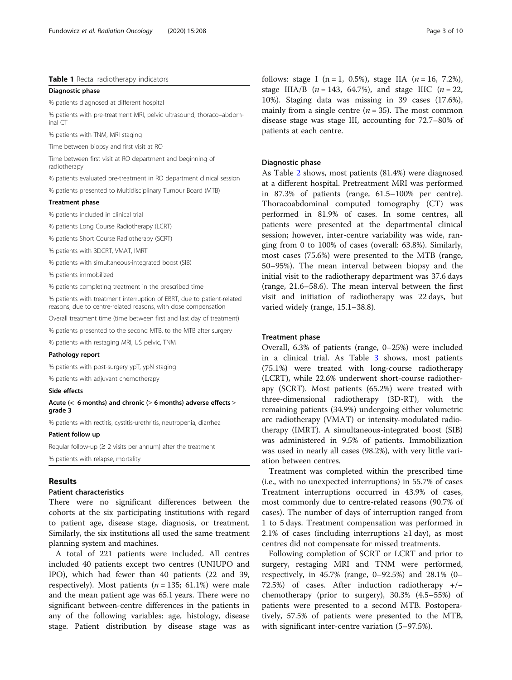# <span id="page-2-0"></span>Table 1 Rectal radiotherapy indicators

Diagnostic phase

% patients diagnosed at different hospital

% patients with pre-treatment MRI, pelvic ultrasound, thoraco–abdominal CT

% patients with TNM, MRI staging

Time between biopsy and first visit at RO

Time between first visit at RO department and beginning of radiotherapy

% patients evaluated pre-treatment in RO department clinical session

% patients presented to Multidisciplinary Tumour Board (MTB)

# Treatment phase

% patients included in clinical trial

% patients Long Course Radiotherapy (LCRT)

% patients Short Course Radiotherapy (SCRT)

% patients with 3DCRT, VMAT, IMRT

% patients with simultaneous-integrated boost (SIB)

% patients immobilized

% patients completing treatment in the prescribed time

% patients with treatment interruption of EBRT, due to patient-related reasons, due to centre-related reasons, with dose compensation

Overall treatment time (time between first and last day of treatment)

% patients presented to the second MTB, to the MTB after surgery

% patients with restaging MRI, US pelvic, TNM

# Pathology report

% patients with post-surgery ypT, ypN staging

% patients with adjuvant chemotherapy

# Side effects

# Acute (< 6 months) and chronic ( $\geq$  6 months) adverse effects  $\geq$ grade 3

% patients with rectitis, cystitis-urethritis, neutropenia, diarrhea

# Patient follow up

Regular follow-up ( $\geq 2$  visits per annum) after the treatment % patients with relapse, mortality

# Results

# Patient characteristics

There were no significant differences between the cohorts at the six participating institutions with regard to patient age, disease stage, diagnosis, or treatment. Similarly, the six institutions all used the same treatment planning system and machines.

A total of 221 patients were included. All centres included 40 patients except two centres (UNIUPO and IPO), which had fewer than 40 patients (22 and 39, respectively). Most patients ( $n = 135$ ; 61.1%) were male and the mean patient age was 65.1 years. There were no significant between-centre differences in the patients in any of the following variables: age, histology, disease stage. Patient distribution by disease stage was as follows: stage I (n = 1, 0.5%), stage IIA ( $n = 16, 7.2\%$ ), stage IIIA/B ( $n = 143, 64.7\%$ ), and stage IIIC ( $n = 22$ , 10%). Staging data was missing in 39 cases (17.6%), mainly from a single centre  $(n = 35)$ . The most common disease stage was stage III, accounting for 72.7–80% of patients at each centre.

# Diagnostic phase

As Table [2](#page-3-0) shows, most patients (81.4%) were diagnosed at a different hospital. Pretreatment MRI was performed in 87.3% of patients (range, 61.5–100% per centre). Thoracoabdominal computed tomography (CT) was performed in 81.9% of cases. In some centres, all patients were presented at the departmental clinical session; however, inter-centre variability was wide, ranging from 0 to 100% of cases (overall: 63.8%). Similarly, most cases (75.6%) were presented to the MTB (range, 50–95%). The mean interval between biopsy and the initial visit to the radiotherapy department was 37.6 days (range, 21.6–58.6). The mean interval between the first visit and initiation of radiotherapy was 22 days, but varied widely (range, 15.1–38.8).

# Treatment phase

Overall, 6.3% of patients (range, 0–25%) were included in a clinical trial. As Table [3](#page-4-0) shows, most patients (75.1%) were treated with long-course radiotherapy (LCRT), while 22.6% underwent short-course radiotherapy (SCRT). Most patients (65.2%) were treated with three-dimensional radiotherapy (3D-RT), with the remaining patients (34.9%) undergoing either volumetric arc radiotherapy (VMAT) or intensity-modulated radiotherapy (IMRT). A simultaneous-integrated boost (SIB) was administered in 9.5% of patients. Immobilization was used in nearly all cases (98.2%), with very little variation between centres.

Treatment was completed within the prescribed time (i.e., with no unexpected interruptions) in 55.7% of cases Treatment interruptions occurred in 43.9% of cases, most commonly due to centre-related reasons (90.7% of cases). The number of days of interruption ranged from 1 to 5 days. Treatment compensation was performed in 2.1% of cases (including interruptions  $\geq 1$  day), as most centres did not compensate for missed treatments.

Following completion of SCRT or LCRT and prior to surgery, restaging MRI and TNM were performed, respectively, in 45.7% (range, 0–92.5%) and 28.1% (0– 72.5%) of cases. After induction radiotherapy +/− chemotherapy (prior to surgery), 30.3% (4.5–55%) of patients were presented to a second MTB. Postoperatively, 57.5% of patients were presented to the MTB, with significant inter-centre variation (5–97.5%).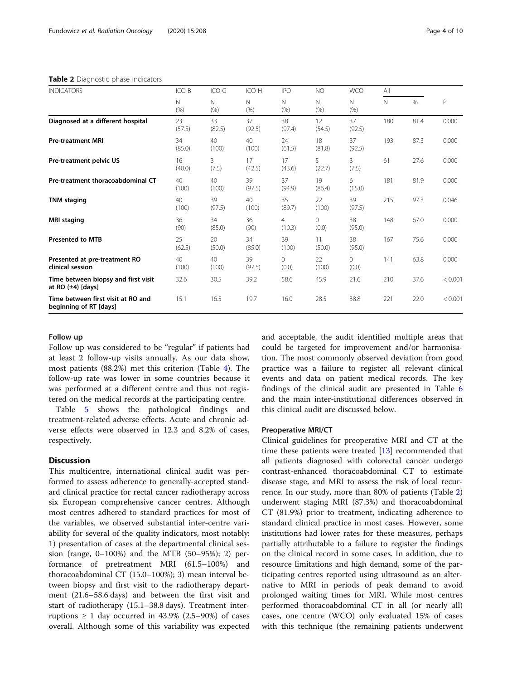<span id="page-3-0"></span>Table 2 Diagnostic phase indicators

| <b>INDICATORS</b>                                             | ICO-B        | $ICO-G$      | ICO H        | <b>IPO</b>               | <b>NO</b>         | <b>WCO</b>        | All |      |         |
|---------------------------------------------------------------|--------------|--------------|--------------|--------------------------|-------------------|-------------------|-----|------|---------|
|                                                               | N<br>(% )    | N<br>(% )    | N<br>(% )    | $\mathbb N$<br>(% )      | N<br>(% )         | N<br>(% )         | N   | %    | P       |
| Diagnosed at a different hospital                             | 23<br>(57.5) | 33<br>(82.5) | 37<br>(92.5) | 38<br>(97.4)             | 12<br>(54.5)      | 37<br>(92.5)      | 180 | 81.4 | 0.000   |
| <b>Pre-treatment MRI</b>                                      | 34<br>(85.0) | 40<br>(100)  | 40<br>(100)  | 24<br>(61.5)             | 18<br>(81.8)      | 37<br>(92.5)      | 193 | 87.3 | 0.000   |
| Pre-treatment pelvic US                                       | 16<br>(40.0) | 3<br>(7.5)   | 17<br>(42.5) | 17<br>(43.6)             | 5<br>(22.7)       | 3<br>(7.5)        | 61  | 27.6 | 0.000   |
| Pre-treatment thoracoabdominal CT                             | 40<br>(100)  | 40<br>(100)  | 39<br>(97.5) | 37<br>(94.9)             | 19<br>(86.4)      | 6<br>(15.0)       | 181 | 81.9 | 0.000   |
| <b>TNM</b> staging                                            | 40<br>(100)  | 39<br>(97.5) | 40<br>(100)  | 35<br>(89.7)             | 22<br>(100)       | 39<br>(97.5)      | 215 | 97.3 | 0.046   |
| <b>MRI</b> staging                                            | 36<br>(90)   | 34<br>(85.0) | 36<br>(90)   | $\overline{4}$<br>(10.3) | $\Omega$<br>(0.0) | 38<br>(95.0)      | 148 | 67.0 | 0.000   |
| <b>Presented to MTB</b>                                       | 25<br>(62.5) | 20<br>(50.0) | 34<br>(85.0) | 39<br>(100)              | 11<br>(50.0)      | 38<br>(95.0)      | 167 | 75.6 | 0.000   |
| Presented at pre-treatment RO<br>clinical session             | 40<br>(100)  | 40<br>(100)  | 39<br>(97.5) | 0<br>(0.0)               | 22<br>(100)       | $\Omega$<br>(0.0) | 141 | 63.8 | 0.000   |
| Time between biopsy and first visit<br>at RO $(\pm 4)$ [days] | 32.6         | 30.5         | 39.2         | 58.6                     | 45.9              | 21.6              | 210 | 37.6 | < 0.001 |
| Time between first visit at RO and<br>beginning of RT [days]  | 15.1         | 16.5         | 19.7         | 16.0                     | 28.5              | 38.8              | 221 | 22.0 | < 0.001 |

# Follow up

Follow up was considered to be "regular" if patients had at least 2 follow-up visits annually. As our data show, most patients (88.2%) met this criterion (Table [4\)](#page-4-0). The follow-up rate was lower in some countries because it was performed at a different centre and thus not registered on the medical records at the participating centre.

Table [5](#page-5-0) shows the pathological findings and treatment-related adverse effects. Acute and chronic adverse effects were observed in 12.3 and 8.2% of cases, respectively.

# **Discussion**

This multicentre, international clinical audit was performed to assess adherence to generally-accepted standard clinical practice for rectal cancer radiotherapy across six European comprehensive cancer centres. Although most centres adhered to standard practices for most of the variables, we observed substantial inter-centre variability for several of the quality indicators, most notably: 1) presentation of cases at the departmental clinical session (range, 0–100%) and the MTB (50–95%); 2) performance of pretreatment MRI (61.5–100%) and thoracoabdominal CT (15.0–100%); 3) mean interval between biopsy and first visit to the radiotherapy department (21.6–58.6 days) and between the first visit and start of radiotherapy (15.1–38.8 days). Treatment interruptions  $\geq 1$  day occurred in 43.9% (2.5–90%) of cases overall. Although some of this variability was expected

and acceptable, the audit identified multiple areas that could be targeted for improvement and/or harmonisation. The most commonly observed deviation from good practice was a failure to register all relevant clinical events and data on patient medical records. The key findings of the clinical audit are presented in Table [6](#page-6-0) and the main inter-institutional differences observed in this clinical audit are discussed below.

# Preoperative MRI/CT

Clinical guidelines for preoperative MRI and CT at the time these patients were treated [\[13\]](#page-9-0) recommended that all patients diagnosed with colorectal cancer undergo contrast-enhanced thoracoabdominal CT to estimate disease stage, and MRI to assess the risk of local recurrence. In our study, more than 80% of patients (Table 2) underwent staging MRI (87.3%) and thoracoabdominal CT (81.9%) prior to treatment, indicating adherence to standard clinical practice in most cases. However, some institutions had lower rates for these measures, perhaps partially attributable to a failure to register the findings on the clinical record in some cases. In addition, due to resource limitations and high demand, some of the participating centres reported using ultrasound as an alternative to MRI in periods of peak demand to avoid prolonged waiting times for MRI. While most centres performed thoracoabdominal CT in all (or nearly all) cases, one centre (WCO) only evaluated 15% of cases with this technique (the remaining patients underwent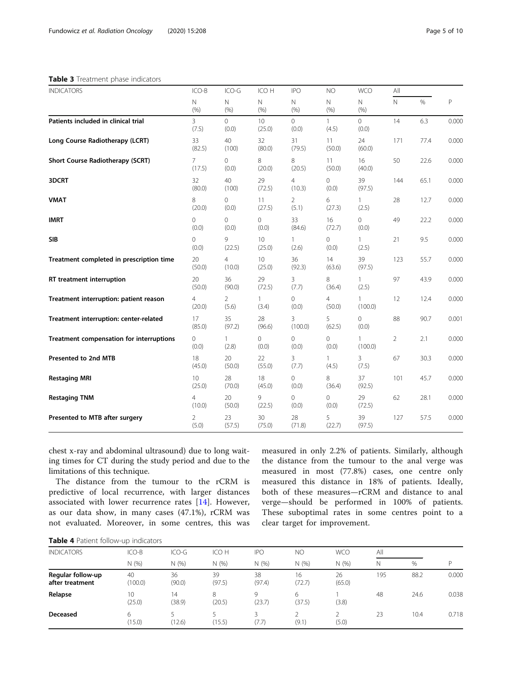# <span id="page-4-0"></span>Table 3 Treatment phase indicators

| <b>INDICATORS</b>                        | ICO-B                    | ICO-G            | ICO H                     | <b>IPO</b>               | NO                      | <b>WCO</b>              | All         |      |       |
|------------------------------------------|--------------------------|------------------|---------------------------|--------------------------|-------------------------|-------------------------|-------------|------|-------|
|                                          | N<br>(% )                | Ν<br>(% )        | Ν<br>(% )                 | Ν<br>(% )                | $\mathsf{N}$<br>(% )    | Ν<br>(% )               | $\mathbb N$ | $\%$ | P     |
| Patients included in clinical trial      | 3<br>(7.5)               | 0<br>(0.0)       | 10 <sup>°</sup><br>(25.0) | 0<br>(0.0)               | $\mathbf{1}$<br>(4.5)   | $\overline{0}$<br>(0.0) | 14          | 6.3  | 0.000 |
| Long Course Radiotherapy (LCRT)          | 33<br>(82.5)             | 40<br>(100)      | 32<br>(80.0)              | 31<br>(79.5)             | 11<br>(50.0)            | 24<br>(60.0)            | 171         | 77.4 | 0.000 |
| Short Course Radiotherapy (SCRT)         | $\overline{7}$<br>(17.5) | 0<br>(0.0)       | 8<br>(20.0)               | 8<br>(20.5)              | 11<br>(50.0)            | 16<br>(40.0)            | 50          | 22.6 | 0.000 |
| 3DCRT                                    | 32<br>(80.0)             | 40<br>(100)      | 29<br>(72.5)              | $\overline{4}$<br>(10.3) | $\mathbf 0$<br>(0.0)    | 39<br>(97.5)            | 144         | 65.1 | 0.000 |
| <b>VMAT</b>                              | 8<br>(20.0)              | $\circ$<br>(0.0) | 11<br>(27.5)              | $\overline{2}$<br>(5.1)  | 6<br>(27.3)             | $\mathbf{1}$<br>(2.5)   | 28          | 12.7 | 0.000 |
| <b>IMRT</b>                              | $\circ$<br>(0.0)         | 0<br>(0.0)       | 0<br>(0.0)                | 33<br>(84.6)             | 16<br>(72.7)            | $\circ$<br>(0.0)        | 49          | 22.2 | 0.000 |
| <b>SIB</b>                               | $\circ$<br>(0.0)         | 9<br>(22.5)      | 10<br>(25.0)              | $\mathbf{1}$<br>(2.6)    | $\mathbf 0$<br>(0.0)    | (2.5)                   | 21          | 9.5  | 0.000 |
| Treatment completed in prescription time | 20<br>(50.0)             | 4<br>(10.0)      | 10 <sup>°</sup><br>(25.0) | 36<br>(92.3)             | 14<br>(63.6)            | 39<br>(97.5)            | 123         | 55.7 | 0.000 |
| RT treatment interruption                | 20<br>(50.0)             | 36<br>(90.0)     | 29<br>(72.5)              | 3<br>(7.7)               | 8<br>(36.4)             | 1<br>(2.5)              | 97          | 43.9 | 0.000 |
| Treatment interruption: patient reason   | $\overline{4}$<br>(20.0) | 2<br>(5.6)       | $\mathbf{1}$<br>(3.4)     | $\circ$<br>(0.0)         | 4<br>(50.0)             | 1<br>(100.0)            | 12          | 12.4 | 0.000 |
| Treatment interruption: center-related   | 17<br>(85.0)             | 35<br>(97.2)     | 28<br>(96.6)              | 3<br>(100.0)             | 5<br>(62.5)             | 0<br>(0.0)              | 88          | 90.7 | 0.001 |
| Treatment compensation for interruptions | 0<br>(0.0)               | 1<br>(2.8)       | 0<br>(0.0)                | 0<br>(0.0)               | 0<br>(0.0)              | 1<br>(100.0)            | 2           | 2.1  | 0.000 |
| Presented to 2nd MTB                     | 18<br>(45.0)             | 20<br>(50.0)     | 22<br>(55.0)              | 3<br>(7.7)               | 1<br>(4.5)              | 3<br>(7.5)              | 67          | 30.3 | 0.000 |
| <b>Restaging MRI</b>                     | 10<br>(25.0)             | 28<br>(70.0)     | 18<br>(45.0)              | 0<br>(0.0)               | 8<br>(36.4)             | 37<br>(92.5)            | 101         | 45.7 | 0.000 |
| <b>Restaging TNM</b>                     | $\overline{4}$<br>(10.0) | 20<br>(50.0)     | 9<br>(22.5)               | $\circ$<br>(0.0)         | $\overline{0}$<br>(0.0) | 29<br>(72.5)            | 62          | 28.1 | 0.000 |
| Presented to MTB after surgery           | 2<br>(5.0)               | 23<br>(57.5)     | 30<br>(75.0)              | 28<br>(71.8)             | 5<br>(22.7)             | 39<br>(97.5)            | 127         | 57.5 | 0.000 |

chest x-ray and abdominal ultrasound) due to long waiting times for CT during the study period and due to the limitations of this technique.

The distance from the tumour to the rCRM is predictive of local recurrence, with larger distances associated with lower recurrence rates [[14](#page-9-0)]. However, as our data show, in many cases (47.1%), rCRM was not evaluated. Moreover, in some centres, this was

measured in only 2.2% of patients. Similarly, although the distance from the tumour to the anal verge was measured in most (77.8%) cases, one centre only measured this distance in 18% of patients. Ideally, both of these measures—rCRM and distance to anal verge—should be performed in 100% of patients. These suboptimal rates in some centres point to a clear target for improvement.

|  |  | Table 4 Patient follow-up indicators |  |
|--|--|--------------------------------------|--|
|  |  |                                      |  |

| <b>INDICATORS</b>                    | ICO-B         | $ICO-G$      | ICO H        | <b>IPO</b>   | NO           | <b>WCO</b>   | All |      |       |
|--------------------------------------|---------------|--------------|--------------|--------------|--------------|--------------|-----|------|-------|
|                                      | N (%)         | N(% )        | N(% )        | N(% )        | N(%          | N(% )        | Ν   | %    | D     |
| Regular follow-up<br>after treatment | 40<br>(100.0) | 36<br>(90.0) | 39<br>(97.5) | 38<br>(97.4) | 16<br>(72.7) | 26<br>(65.0) | 195 | 88.2 | 0.000 |
| Relapse                              | 10<br>(25.0)  | 14<br>(38.9) | 8<br>(20.5)  | Q<br>(23.7)  | 6<br>(37.5)  | (3.8)        | 48  | 24.6 | 0.038 |
| <b>Deceased</b>                      | 6<br>(15.0)   | (12.6)       | (15.5)       | (7.7)        | (9.1)        | (5.0)        | 23  | 10.4 | 0.718 |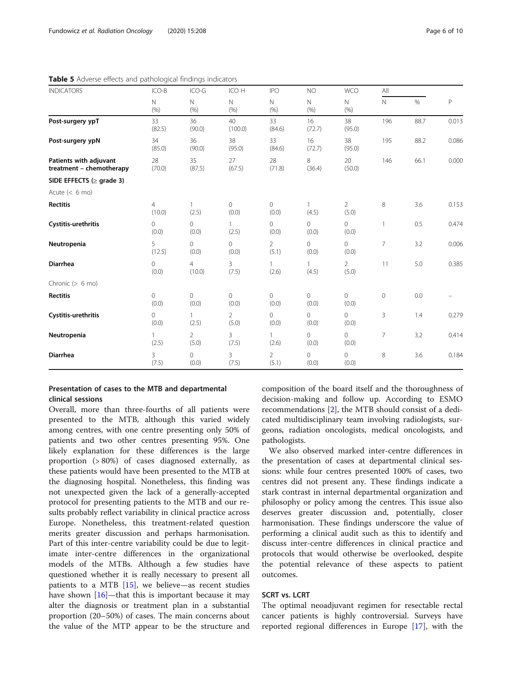| <b>INDICATORS</b>                                  | ICO-B             | ICO-G                    | ICO H                      | <b>IPO</b><br>N<br>(% ) | <b>NO</b>             | <b>WCO</b>              | All          |      |       |
|----------------------------------------------------|-------------------|--------------------------|----------------------------|-------------------------|-----------------------|-------------------------|--------------|------|-------|
|                                                    | N<br>(% )         | $\mathsf{N}$<br>(% )     | N<br>(% )                  |                         | $\mathsf{N}$<br>(% )  | N<br>(% )               | $\mathsf{N}$ | $\%$ | Ρ     |
| Post-surgery ypT                                   | 33<br>(82.5)      | 36<br>(90.0)             | 40 <sup>°</sup><br>(100.0) | 33<br>(84.6)            | 16<br>(72.7)          | 38<br>(95.0)            | 196          | 88.7 | 0.013 |
| Post-surgery ypN                                   | 34<br>(85.0)      | 36<br>(90.0)             | 38<br>(95.0)               | 33<br>(84.6)            | 16<br>(72.7)          | 38<br>(95.0)            | 195          | 88.2 | 0.086 |
| Patients with adjuvant<br>treatment - chemotherapy | 28<br>(70.0)      | 35<br>(87.5)             | 27<br>(67.5)               | 28<br>(71.8)            | 8<br>(36.4)           | 20<br>(50.0)            | 146          | 66.1 | 0.000 |
| SIDE EFFECTS ( $\ge$ grade 3)                      |                   |                          |                            |                         |                       |                         |              |      |       |
| Acute $(< 6$ mo)                                   |                   |                          |                            |                         |                       |                         |              |      |       |
| <b>Rectitis</b>                                    | 4<br>(10.0)       | (2.5)                    | $\circ$<br>(0.0)           | 0<br>(0.0)              | $\mathbf{1}$<br>(4.5) | 2<br>(5.0)              | 8            | 3.6  | 0.153 |
| Cystitis-urethritis                                | $\Omega$<br>(0.0) | $\Omega$<br>(0.0)        | (2.5)                      | 0<br>(0.0)              | $\Omega$<br>(0.0)     | $\Omega$<br>(0.0)       | 1            | 0.5  | 0.474 |
| Neutropenia                                        | 5<br>(12.5)       | $\Omega$<br>(0.0)        | $\overline{0}$<br>(0.0)    | $\overline{2}$<br>(5.1) | $\Omega$<br>(0.0)     | 0<br>(0.0)              | 7            | 3.2  | 0.006 |
| <b>Diarrhea</b>                                    | $\Omega$<br>(0.0) | $\overline{4}$<br>(10.0) | $\overline{3}$<br>(7.5)    | $\mathbf{1}$<br>(2.6)   | (4.5)                 | $\overline{2}$<br>(5.0) | 11           | 5.0  | 0.385 |
| Chronic $(> 6 \text{ mo})$                         |                   |                          |                            |                         |                       |                         |              |      |       |
| <b>Rectitis</b>                                    | 0<br>(0.0)        | 0<br>(0.0)               | $\circ$<br>(0.0)           | 0<br>(0.0)              | $\circ$<br>(0.0)      | 0<br>(0.0)              | $\circ$      | 0.0  |       |
| Cystitis-urethritis                                | $\Omega$<br>(0.0) | (2.5)                    | $\overline{2}$<br>(5.0)    | 0<br>(0.0)              | 0<br>(0.0)            | 0<br>(0.0)              | 3            | 1.4  | 0.279 |
| Neutropenia                                        | 1.<br>(2.5)       | $\overline{2}$<br>(5.0)  | 3<br>(7.5)                 | $\mathbf{1}$<br>(2.6)   | 0<br>(0.0)            | 0<br>(0.0)              | 7            | 3.2  | 0.414 |
| <b>Diarrhea</b>                                    | 3<br>(7.5)        | $\mathbf 0$<br>(0.0)     | 3<br>(7.5)                 | $\overline{2}$<br>(5.1) | $\Omega$<br>(0.0)     | 0<br>(0.0)              | 8            | 3.6  | 0.184 |

<span id="page-5-0"></span>Table 5 Adverse effects and pathological findings indicators

# Presentation of cases to the MTB and departmental clinical sessions

Overall, more than three-fourths of all patients were presented to the MTB, although this varied widely among centres, with one centre presenting only 50% of patients and two other centres presenting 95%. One likely explanation for these differences is the large proportion (> 80%) of cases diagnosed externally, as these patients would have been presented to the MTB at the diagnosing hospital. Nonetheless, this finding was not unexpected given the lack of a generally-accepted protocol for presenting patients to the MTB and our results probably reflect variability in clinical practice across Europe. Nonetheless, this treatment-related question merits greater discussion and perhaps harmonisation. Part of this inter-centre variability could be due to legitimate inter-centre differences in the organizational models of the MTBs. Although a few studies have questioned whether it is really necessary to present all patients to a MTB [[15\]](#page-9-0), we believe—as recent studies have shown  $[16]$  $[16]$ —that this is important because it may alter the diagnosis or treatment plan in a substantial proportion (20–50%) of cases. The main concerns about the value of the MTP appear to be the structure and

composition of the board itself and the thoroughness of decision-making and follow up. According to ESMO recommendations [\[2](#page-8-0)], the MTB should consist of a dedicated multidisciplinary team involving radiologists, surgeons, radiation oncologists, medical oncologists, and pathologists.

We also observed marked inter-centre differences in the presentation of cases at departmental clinical sessions: while four centres presented 100% of cases, two centres did not present any. These findings indicate a stark contrast in internal departmental organization and philosophy or policy among the centres. This issue also deserves greater discussion and, potentially, closer harmonisation. These findings underscore the value of performing a clinical audit such as this to identify and discuss inter-centre differences in clinical practice and protocols that would otherwise be overlooked, despite the potential relevance of these aspects to patient outcomes.

# SCRT vs. LCRT

The optimal neoadjuvant regimen for resectable rectal cancer patients is highly controversial. Surveys have reported regional differences in Europe [\[17](#page-9-0)], with the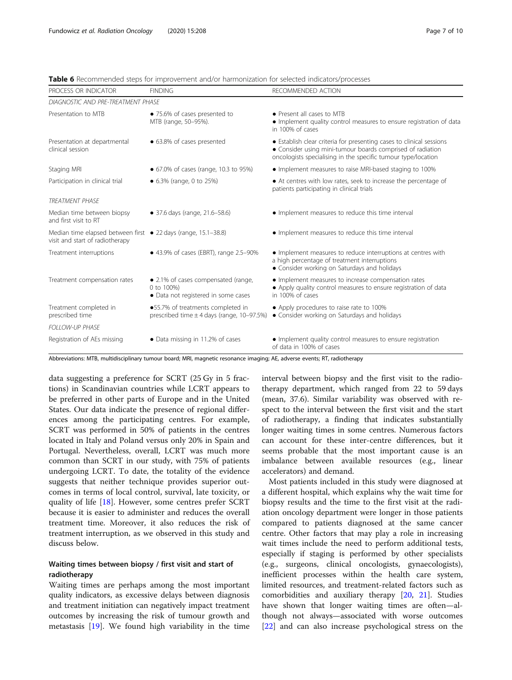| PROCESS OR INDICATOR                                                                              | <b>FINDING</b>                                                                           | RECOMMENDED ACTION                                                                                                                                                                                  |  |  |  |  |  |  |
|---------------------------------------------------------------------------------------------------|------------------------------------------------------------------------------------------|-----------------------------------------------------------------------------------------------------------------------------------------------------------------------------------------------------|--|--|--|--|--|--|
| DIAGNOSTIC AND PRE-TREATMENT PHASE                                                                |                                                                                          |                                                                                                                                                                                                     |  |  |  |  |  |  |
| Presentation to MTB                                                                               | • 75.6% of cases presented to<br>MTB (range, 50-95%).                                    | • Present all cases to MTB<br>• Implement quality control measures to ensure registration of data<br>in 100% of cases                                                                               |  |  |  |  |  |  |
| Presentation at departmental<br>clinical session                                                  | • 63.8% of cases presented                                                               | • Establish clear criteria for presenting cases to clinical sessions<br>• Consider using mini-tumour boards comprised of radiation<br>oncologists specialising in the specific tumour type/location |  |  |  |  |  |  |
| Staging MRI                                                                                       | • 67.0% of cases (range, 10.3 to 95%)                                                    | • Implement measures to raise MRI-based staging to 100%                                                                                                                                             |  |  |  |  |  |  |
| Participation in clinical trial                                                                   | • 6.3% (range, 0 to 25%)                                                                 | • At centres with low rates, seek to increase the percentage of<br>patients participating in clinical trials                                                                                        |  |  |  |  |  |  |
| <b>TREATMENT PHASE</b>                                                                            |                                                                                          |                                                                                                                                                                                                     |  |  |  |  |  |  |
| Median time between biopsy<br>and first visit to RT                                               | • 37.6 days (range, 21.6-58.6)                                                           | • Implement measures to reduce this time interval                                                                                                                                                   |  |  |  |  |  |  |
| Median time elapsed between first • 22 days (range, 15.1–38.8)<br>visit and start of radiotherapy |                                                                                          | • Implement measures to reduce this time interval                                                                                                                                                   |  |  |  |  |  |  |
| Treatment interruptions                                                                           | • 43.9% of cases (EBRT), range 2.5-90%                                                   | • Implement measures to reduce interruptions at centres with<br>a high percentage of treatment interruptions<br>• Consider working on Saturdays and holidays                                        |  |  |  |  |  |  |
| Treatment compensation rates                                                                      | • 2.1% of cases compensated (range,<br>0 to 100%)<br>• Data not registered in some cases | • Implement measures to increase compensation rates<br>• Apply quality control measures to ensure registration of data<br>in 100% of cases                                                          |  |  |  |  |  |  |
| Treatment completed in<br>prescribed time                                                         | ●55.7% of treatments completed in<br>prescribed time $\pm$ 4 days (range, 10-97.5%)      | • Apply procedures to raise rate to 100%<br>• Consider working on Saturdays and holidays                                                                                                            |  |  |  |  |  |  |
| <b>FOLLOW-UP PHASE</b>                                                                            |                                                                                          |                                                                                                                                                                                                     |  |  |  |  |  |  |
| Registration of AEs missing                                                                       | • Data missing in 11.2% of cases                                                         | • Implement quality control measures to ensure registration<br>of data in 100% of cases                                                                                                             |  |  |  |  |  |  |

<span id="page-6-0"></span>Table 6 Recommended steps for improvement and/or harmonization for selected indicators/processes

Abbreviations: MTB, multidisciplinary tumour board; MRI, magnetic resonance imaging; AE, adverse events; RT, radiotherapy

data suggesting a preference for SCRT (25 Gy in 5 fractions) in Scandinavian countries while LCRT appears to be preferred in other parts of Europe and in the United States. Our data indicate the presence of regional differences among the participating centres. For example, SCRT was performed in 50% of patients in the centres located in Italy and Poland versus only 20% in Spain and Portugal. Nevertheless, overall, LCRT was much more common than SCRT in our study, with 75% of patients undergoing LCRT. To date, the totality of the evidence suggests that neither technique provides superior outcomes in terms of local control, survival, late toxicity, or quality of life [[18\]](#page-9-0). However, some centres prefer SCRT because it is easier to administer and reduces the overall treatment time. Moreover, it also reduces the risk of treatment interruption, as we observed in this study and discuss below.

# Waiting times between biopsy / first visit and start of radiotherapy

Waiting times are perhaps among the most important quality indicators, as excessive delays between diagnosis and treatment initiation can negatively impact treatment outcomes by increasing the risk of tumour growth and metastasis [\[19](#page-9-0)]. We found high variability in the time interval between biopsy and the first visit to the radiotherapy department, which ranged from 22 to 59 days (mean, 37.6). Similar variability was observed with respect to the interval between the first visit and the start of radiotherapy, a finding that indicates substantially longer waiting times in some centres. Numerous factors can account for these inter-centre differences, but it seems probable that the most important cause is an imbalance between available resources (e.g., linear accelerators) and demand.

Most patients included in this study were diagnosed at a different hospital, which explains why the wait time for biopsy results and the time to the first visit at the radiation oncology department were longer in those patients compared to patients diagnosed at the same cancer centre. Other factors that may play a role in increasing wait times include the need to perform additional tests, especially if staging is performed by other specialists (e.g., surgeons, clinical oncologists, gynaecologists), inefficient processes within the health care system, limited resources, and treatment-related factors such as comorbidities and auxiliary therapy [\[20](#page-9-0), [21](#page-9-0)]. Studies have shown that longer waiting times are often—although not always—associated with worse outcomes [[22\]](#page-9-0) and can also increase psychological stress on the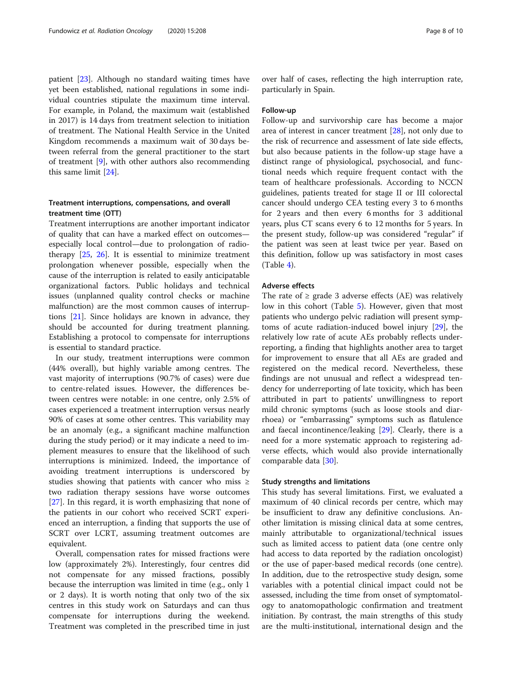patient [[23\]](#page-9-0). Although no standard waiting times have yet been established, national regulations in some individual countries stipulate the maximum time interval. For example, in Poland, the maximum wait (established in 2017) is 14 days from treatment selection to initiation of treatment. The National Health Service in the United Kingdom recommends a maximum wait of 30 days between referral from the general practitioner to the start of treatment [[9\]](#page-8-0), with other authors also recommending this same limit [\[24](#page-9-0)].

# Treatment interruptions, compensations, and overall treatment time (OTT)

Treatment interruptions are another important indicator of quality that can have a marked effect on outcomes especially local control—due to prolongation of radiotherapy  $[25, 26]$  $[25, 26]$  $[25, 26]$  $[25, 26]$ . It is essential to minimize treatment prolongation whenever possible, especially when the cause of the interruption is related to easily anticipatable organizational factors. Public holidays and technical issues (unplanned quality control checks or machine malfunction) are the most common causes of interruptions [[21\]](#page-9-0). Since holidays are known in advance, they should be accounted for during treatment planning. Establishing a protocol to compensate for interruptions is essential to standard practice.

In our study, treatment interruptions were common (44% overall), but highly variable among centres. The vast majority of interruptions (90.7% of cases) were due to centre-related issues. However, the differences between centres were notable: in one centre, only 2.5% of cases experienced a treatment interruption versus nearly 90% of cases at some other centres. This variability may be an anomaly (e.g., a significant machine malfunction during the study period) or it may indicate a need to implement measures to ensure that the likelihood of such interruptions is minimized. Indeed, the importance of avoiding treatment interruptions is underscored by studies showing that patients with cancer who miss ≥ two radiation therapy sessions have worse outcomes [[27\]](#page-9-0). In this regard, it is worth emphasizing that none of the patients in our cohort who received SCRT experienced an interruption, a finding that supports the use of SCRT over LCRT, assuming treatment outcomes are equivalent.

Overall, compensation rates for missed fractions were low (approximately 2%). Interestingly, four centres did not compensate for any missed fractions, possibly because the interruption was limited in time (e.g., only 1 or 2 days). It is worth noting that only two of the six centres in this study work on Saturdays and can thus compensate for interruptions during the weekend. Treatment was completed in the prescribed time in just

over half of cases, reflecting the high interruption rate, particularly in Spain.

# Follow-up

Follow-up and survivorship care has become a major area of interest in cancer treatment [[28](#page-9-0)], not only due to the risk of recurrence and assessment of late side effects, but also because patients in the follow-up stage have a distinct range of physiological, psychosocial, and functional needs which require frequent contact with the team of healthcare professionals. According to NCCN guidelines, patients treated for stage II or III colorectal cancer should undergo CEA testing every 3 to 6 months for 2 years and then every 6 months for 3 additional years, plus CT scans every 6 to 12 months for 5 years. In the present study, follow-up was considered "regular" if the patient was seen at least twice per year. Based on this definition, follow up was satisfactory in most cases (Table [4\)](#page-4-0).

# Adverse effects

The rate of  $\geq$  grade 3 adverse effects (AE) was relatively low in this cohort (Table [5](#page-5-0)). However, given that most patients who undergo pelvic radiation will present symptoms of acute radiation-induced bowel injury [[29\]](#page-9-0), the relatively low rate of acute AEs probably reflects underreporting, a finding that highlights another area to target for improvement to ensure that all AEs are graded and registered on the medical record. Nevertheless, these findings are not unusual and reflect a widespread tendency for underreporting of late toxicity, which has been attributed in part to patients' unwillingness to report mild chronic symptoms (such as loose stools and diarrhoea) or "embarrassing" symptoms such as flatulence and faecal incontinence/leaking [[29\]](#page-9-0). Clearly, there is a need for a more systematic approach to registering adverse effects, which would also provide internationally comparable data [\[30](#page-9-0)].

# Study strengths and limitations

This study has several limitations. First, we evaluated a maximum of 40 clinical records per centre, which may be insufficient to draw any definitive conclusions. Another limitation is missing clinical data at some centres, mainly attributable to organizational/technical issues such as limited access to patient data (one centre only had access to data reported by the radiation oncologist) or the use of paper-based medical records (one centre). In addition, due to the retrospective study design, some variables with a potential clinical impact could not be assessed, including the time from onset of symptomatology to anatomopathologic confirmation and treatment initiation. By contrast, the main strengths of this study are the multi-institutional, international design and the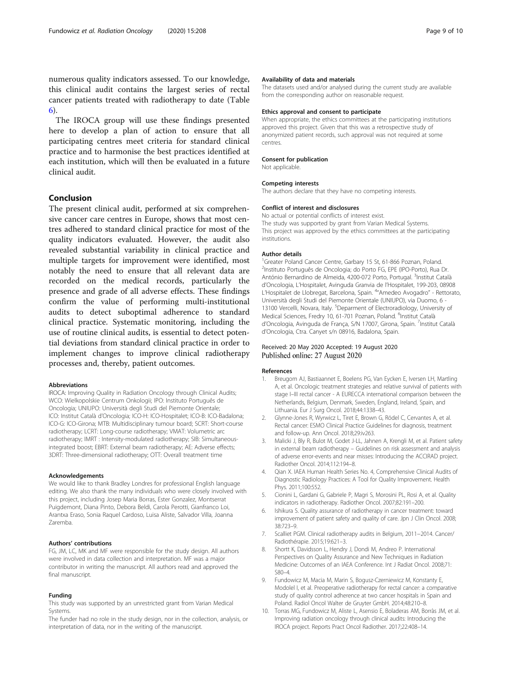<span id="page-8-0"></span>numerous quality indicators assessed. To our knowledge, this clinical audit contains the largest series of rectal cancer patients treated with radiotherapy to date (Table [6\)](#page-6-0).

The IROCA group will use these findings presented here to develop a plan of action to ensure that all participating centres meet criteria for standard clinical practice and to harmonise the best practices identified at each institution, which will then be evaluated in a future clinical audit.

# Conclusion

The present clinical audit, performed at six comprehensive cancer care centres in Europe, shows that most centres adhered to standard clinical practice for most of the quality indicators evaluated. However, the audit also revealed substantial variability in clinical practice and multiple targets for improvement were identified, most notably the need to ensure that all relevant data are recorded on the medical records, particularly the presence and grade of all adverse effects. These findings confirm the value of performing multi-institutional audits to detect suboptimal adherence to standard clinical practice. Systematic monitoring, including the use of routine clinical audits, is essential to detect potential deviations from standard clinical practice in order to implement changes to improve clinical radiotherapy processes and, thereby, patient outcomes.

# Abbreviations

IROCA: Improving Quality in Radiation Oncology through Clinical Audits; WCO: Wielkopolskie Centrum Onkologii; IPO: Instituto Português de Oncologia; UNIUPO: Università degli Studi del Piemonte Orientale; ICO: Institut Català d'Oncologia; ICO-H: ICO-Hospitalet; ICO-B: ICO-Badalona; ICO-G: ICO-Girona; MTB: Multidisciplinary tumour board; SCRT: Short-course radiotherapy; LCRT: Long-course radiotherapy; VMAT: Volumetric arc radiotherapy; IMRT : Intensity-modulated radiotherapy; SIB: Simultaneousintegrated boost; EBRT: External beam radiotherapy; AE: Adverse effects; 3DRT: Three-dimensional radiotherapy; OTT: Overall treatment time

# Acknowledgements

We would like to thank Bradley Londres for professional English language editing. We also thank the many individuals who were closely involved with this project, including Josep Maria Borras, Ester Gonzalez, Montserrat Puigdemont, Diana Pinto, Debora Beldi, Carola Perotti, Gianfranco Loi, Arantxa Eraso, Sonia Raquel Cardoso, Luisa Aliste, Salvador Villa, Joanna Zaremba.

# Authors' contributions

FG, JM, LC, MK and MF were responsible for the study design. All authors were involved in data collection and interpretation. MF was a major contributor in writing the manuscript. All authors read and approved the final manuscript.

# Funding

This study was supported by an unrestricted grant from Varian Medical Systems.

The funder had no role in the study design, nor in the collection, analysis, or interpretation of data, nor in the writing of the manuscript.

# Availability of data and materials

The datasets used and/or analysed during the current study are available from the corresponding author on reasonable request.

# Ethics approval and consent to participate

When appropriate, the ethics committees at the participating institutions approved this project. Given that this was a retrospective study of anonymized patient records, such approval was not required at some centres.

# Consent for publication

Not applicable.

# Competing interests

The authors declare that they have no competing interests.

#### Conflict of interest and disclosures

No actual or potential conflicts of interest exist. The study was supported by grant from Varian Medical Systems. This project was approved by the ethics committees at the participating institutions.

### Author details

<sup>1</sup>Greater Poland Cancer Centre, Garbary 15 St, 61-866 Poznan, Poland. 2 Instituto Português de Oncologia; do Porto FG, EPE (IPO-Porto), Rua Dr. António Bernardino de Almeida, 4200-072 Porto, Portugal. <sup>3</sup>Institut Català d'Oncologia, L'Hospitalet, Avinguda Granvia de l'Hospitalet, 199-203, 08908 L'Hospitalet de Llobregat, Barcelona, Spain. <sup>4</sup>"Amedeo Avogadro" - Rettorato Università degli Studi del Piemonte Orientale (UNIUPO), via Duomo, 6 - 13100 Vercelli, Novara, Italy. <sup>5</sup>Deparment of Electroradiology, University of Medical Sciences, Fredry 10, 61-701 Poznan, Poland. <sup>6</sup>Institut Català d'Oncologia, Avinguda de França, S/N 17007, Girona, Spain. 7Institut Català d'Oncologia, Ctra. Canyet s/n 08916, Badalona, Spain.

# Received: 20 May 2020 Accepted: 19 August 2020 Published online: 27 August 2020

# References

- 1. Breugom AJ, Bastiaannet E, Boelens PG, Van Eycken E, Iversen LH, Martling A, et al. Oncologic treatment strategies and relative survival of patients with stage I–III rectal cancer - A EURECCA international comparison between the Netherlands, Belgium, Denmark, Sweden, England, Ireland, Spain, and Lithuania. Eur J Surg Oncol. 2018;44:1338–43.
- 2. Glynne-Jones R, Wyrwicz L, Tiret E, Brown G, Rödel C, Cervantes A, et al. Rectal cancer: ESMO Clinical Practice Guidelines for diagnosis, treatment and follow-up. Ann Oncol. 2018;29:iv263.
- 3. Malicki J, Bly R, Bulot M, Godet J-LL, Jahnen A, Krengli M, et al. Patient safety in external beam radiotherapy – Guidelines on risk assessment and analysis of adverse error-events and near misses: Introducing the ACCIRAD project. Radiother Oncol. 2014;112:194–8.
- 4. Qian X. IAEA Human Health Series No. 4, Comprehensive Clinical Audits of Diagnostic Radiology Practices: A Tool for Quality Improvement. Health Phys. 2011;100:552.
- 5. Cionini L, Gardani G, Gabriele P, Magri S, Morosini PL, Rosi A, et al. Quality indicators in radiotherapy. Radiother Oncol. 2007;82:191–200.
- Ishikura S. Quality assurance of radiotherapy in cancer treatment: toward improvement of patient safety and quality of care. Jpn J Clin Oncol. 2008; 38:723–9.
- 7. Scalliet PGM. Clinical radiotherapy audits in Belgium, 2011−2014. Cancer/ Radiothérapie. 2015;19:621–3.
- 8. Shortt K, Davidsson L, Hendry J, Dondi M, Andreo P. International Perspectives on Quality Assurance and New Techniques in Radiation Medicine: Outcomes of an IAEA Conference. Int J Radiat Oncol. 2008;71: S80–4.
- 9. Fundowicz M, Macia M, Marin S, Bogusz-Czerniewicz M, Konstanty E, Modolel I, et al. Preoperative radiotherapy for rectal cancer: a comparative study of quality control adherence at two cancer hospitals in Spain and Poland. Radiol Oncol Walter de Gruyter GmbH. 2014;48:210–8.
- 10. Torras MG, Fundowicz M, Aliste L, Asensio E, Boladeras AM, Borràs JM, et al. Improving radiation oncology through clinical audits: Introducing the IROCA project. Reports Pract Oncol Radiother. 2017;22:408–14.